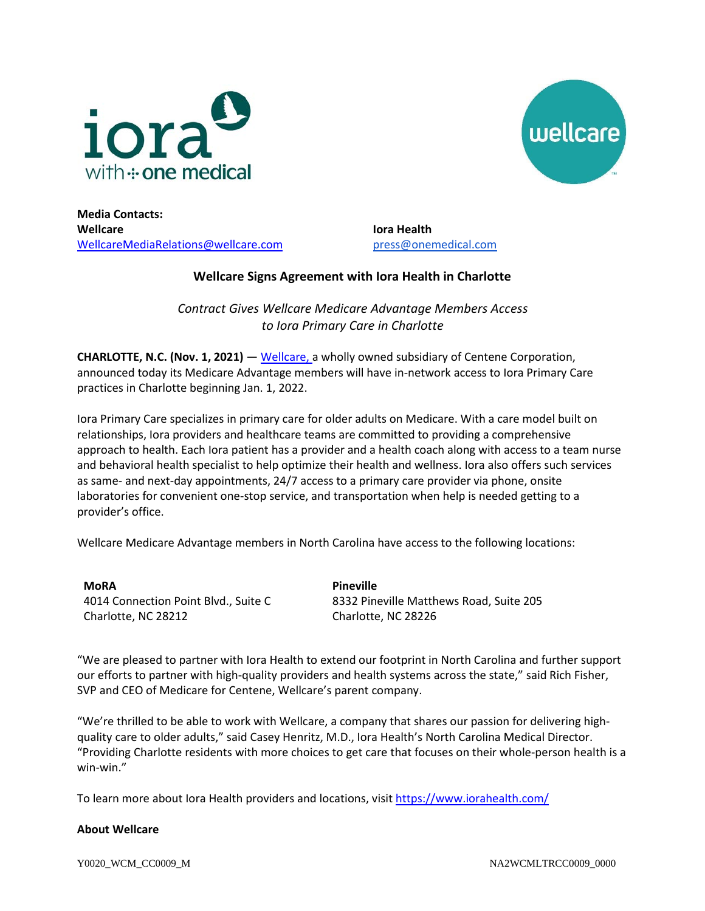



**Media Contacts: Wellcare** [WellcareMediaRelations@wellcare.com](mailto:WellcareMediaRelations@wellcare.com)

**Iora Health**  [press@onemedical.com](mailto:press@onemedical.com)

## **Wellcare Signs Agreement with Iora Health in Charlotte**

*Contract Gives Wellcare Medicare Advantage Members Access to Iora Primary Care in Charlotte*

**CHARLOTTE, N.C. (Nov. 1, 2021)** — [Wellcare,](http://www.wellcare.com/) a wholly owned subsidiary of Centene Corporation, announced today its Medicare Advantage members will have in-network access to Iora Primary Care practices in Charlotte beginning Jan. 1, 2022.

Iora Primary Care specializes in primary care for older adults on Medicare. With a care model built on relationships, Iora providers and healthcare teams are committed to providing a comprehensive approach to health. Each Iora patient has a provider and a health coach along with access to a team nurse and behavioral health specialist to help optimize their health and wellness. Iora also offers such services as same- and next-day appointments, 24/7 access to a primary care provider via phone, onsite laboratories for convenient one-stop service, and transportation when help is needed getting to a provider's office.

Wellcare Medicare Advantage members in North Carolina have access to the following locations:

**MoRA** 4014 Connection Point Blvd., Suite C Charlotte, NC 28212

**Pineville** 8332 Pineville Matthews Road, Suite 205 Charlotte, NC 28226

"We are pleased to partner with Iora Health to extend our footprint in North Carolina and further support our efforts to partner with high-quality providers and health systems across the state," said Rich Fisher, SVP and CEO of Medicare for Centene, Wellcare's parent company.

"We're thrilled to be able to work with Wellcare, a company that shares our passion for delivering highquality care to older adults," said Casey Henritz, M.D., Iora Health's North Carolina Medical Director. "Providing Charlotte residents with more choices to get care that focuses on their whole-person health is a win-win."

To learn more about Iora Health providers and locations, visi[t https://www.iorahealth.com/](https://www.iorahealth.com/)

## **About Wellcare**